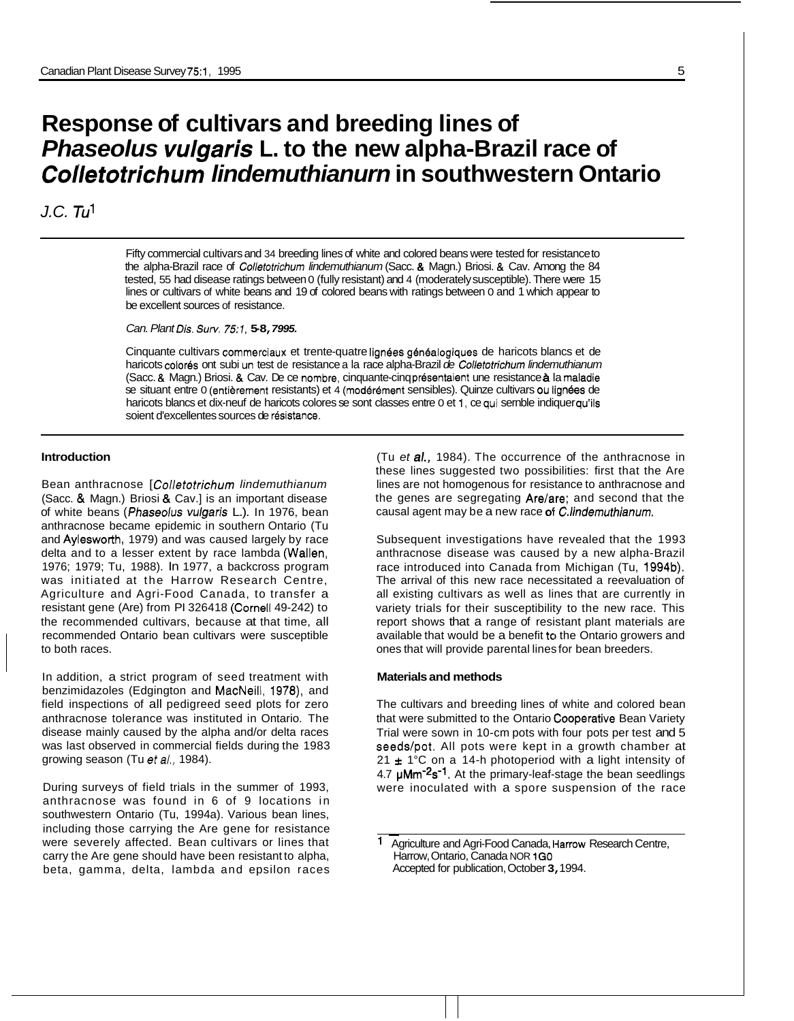# **Response of cultivars and breeding lines of**  *Phaseolus vulgaris* **L. to the new alpha-Brazil race of**  *Colletotrichum lindemuthianurn* **in southwestern Ontario**

# *J.C. Tul*

Fifty commercial cultivars and 34 breeding lines of white and colored beans were tested for resistance to the alpha-Brazil race of *Collefotrichum lindemuthianum* (Sacc. & Magn.) Briosi. & Cav. Among the 84 tested, 55 had disease ratings between 0 (fully resistant) and 4 (moderately susceptible). There were 15 lines or cultivars of white beans and 19 of colored beans with ratings between 0 and 1 which appear to be excellent sources of resistance.

*Can. Plant Dis. Surv. 75:1,* **5-8,** *7995.* 

Cinquante cultivars commerciaux et trente-quatre lignees genealogiques de haricots blancs et de haricots color6s ont subi un test de resistance a la race alpha-Brazil *de Collefotrichum lindemuthianum*  (Sacc. & Magn.) Briosi. & Cav. De ce nombre, cinquante-cinq presentaient une resistance **a** la maladie se situant entre 0 (entièrement resistants) et 4 (modérément sensibles). Quinze cultivars ou lignées de haricots blancs et dix-neuf de haricots colores se sont classes entre 0 et 1, ce qui sernble indiquer qu'ils soient d'excellentes sources de résistance.

### **Introduction**

Bean anthracnose [ *Colletotrichum lindemuthianum*  (Sacc. & Magn.) Briosi & Cav.] is an important disease of white beans (Phaseolus vulgaris L.). In 1976, bean anthracnose became epidemic in southern Ontario (Tu and Aylesworth, 1979) and was caused largely by race delta and to a lesser extent by race lambda (Wallen, 1976; 1979; Tu, 1988). In 1977, a backcross program was initiated at the Harrow Research Centre, Agriculture and Agri-Food Canada, to transfer a resistant gene (Are) from PI 326418 (Cornell 49-242) to the recommended cultivars, because at that time, all recommended Ontario bean cultivars were susceptible to both races.

In addition, a strict program of seed treatment with benzimidazoles (Edgington and MacNeill, 1978), and field inspections of all pedigreed seed plots for zero anthracnose tolerance was instituted in Ontario. The disease mainly caused by the alpha and/or delta races was last observed in commercial fields during the 1983 growing season (Tu *et al.,* 1984).

During surveys of field trials in the summer of 1993, anthracnose was found in 6 of 9 locations in southwestern Ontario (Tu, 1994a). Various bean lines, including those carrying the Are gene for resistance were severely affected. Bean cultivars or lines that carry the Are gene should have been resistant to alpha, beta, gamma, delta, lambda and epsilon races

(Tu *et a/.,* 1984). The occurrence of the anthracnose in these lines suggested two possibilities: first that the Are lines are not homogenous for resistance to anthracnose and the genes are segregating Are/are; and second that the causal agent may be a new race **OF** *C.lindemuthianum.* 

Subsequent investigations have revealed that the 1993 anthracnose disease was caused by a new alpha-Brazil race introduced into Canada from Michigan (Tu, 1994b). The arrival of this new race necessitated a reevaluation of all existing cultivars as well as lines that are currently in variety trials for their susceptibility to the new race. This report shows that a range of resistant plant materials are available that would be a benefit to the Ontario growers and ones that will provide parental lines for bean breeders.

#### **Materials and methods**

The cultivars and breeding lines of white and colored bean that were submitted to the Ontario Cooperative Bean Variety Trial were sown in 10-cm pots with four pots per test and 5 seeds/pot. All pots were kept in a growth chamber at 21 ± 1°C on a 14-h photoperiod with a light intensity of 4.7  $\mu$ Mm<sup>-2</sup>s<sup>-1</sup>. At the primary-leaf-stage the bean seedlings were inoculated with a spore suspension of the race

Agriculture and Agri-Food Canada, Harrow Research Centre, Harrow, Ontario, Canada NOR **1GO**  Accepted for publication, October **3,** 1994.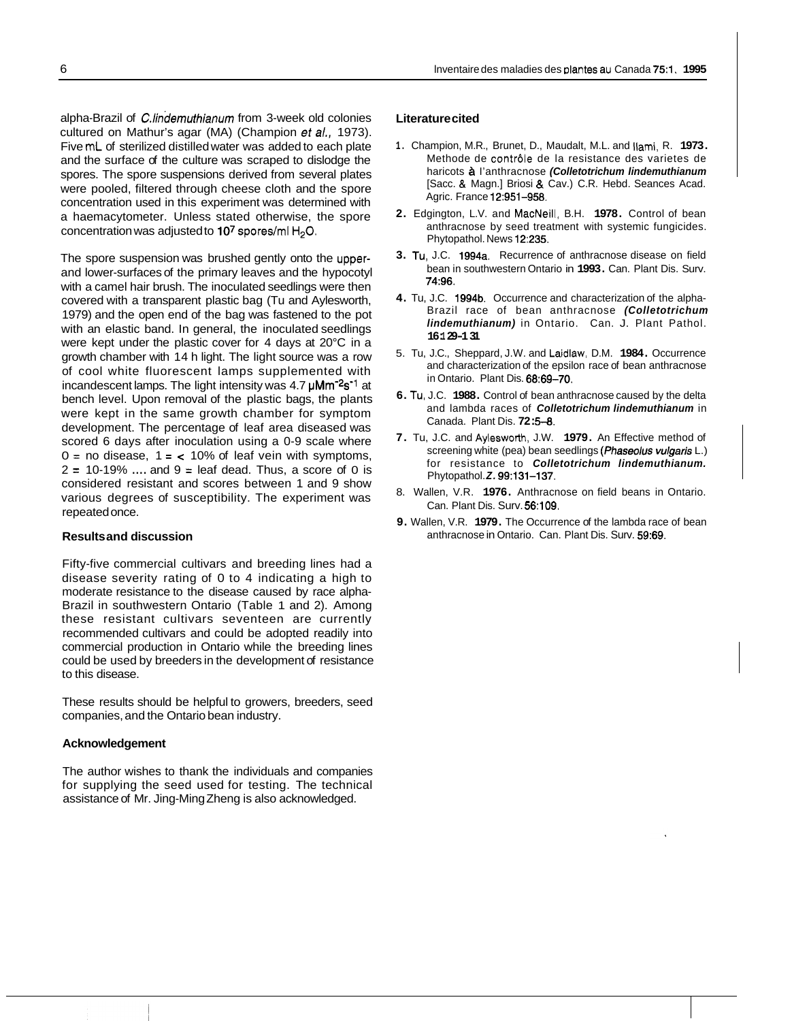alpha-Brazil of *C.lindemuthianum* from 3-week old colonies cultured on Mathur's agar (MA) (Champion *et a/.,* 1973). Five mL of sterilized distilled water was added to each plate and the surface of the culture was scraped to dislodge the spores. The spore suspensions derived from several plates were pooled, filtered through cheese cloth and the spore concentration used in this experiment was determined with a haemacytometer. Unless stated otherwise, the spore concentration was adjusted to 107 spores/ml H<sub>2</sub>O.

The spore suspension was brushed gently onto the upperand lower-surfaces of the primary leaves and the hypocotyl with a camel hair brush. The inoculated seedlings were then covered with a transparent plastic bag (Tu and Aylesworth, 1979) and the open end of the bag was fastened to the pot with an elastic band. In general, the inoculated seedlings were kept under the plastic cover for 4 days at 20°C in a growth chamber with 14 h light. The light source was a row of cool white fluorescent lamps supplemented with incandescent lamps. The light intensity was  $4.7 \mu \text{Mm}^{-2} \text{s}^{-1}$  at bench level. Upon removal of the plastic bags, the plants were kept in the same growth chamber for symptom development. The percentage of leaf area diseased was scored 6 days after inoculation using a 0-9 scale where  $0 =$  no disease,  $1 =$  < 10% of leaf vein with symptoms,  $2 = 10-19\%$  .... and  $9 =$  leaf dead. Thus, a score of 0 is considered resistant and scores between 1 and 9 show various degrees of susceptibility. The experiment was repeated once.

## **Results and discussion**

Fifty-five commercial cultivars and breeding lines had a disease severity rating of 0 to 4 indicating a high to moderate resistance to the disease caused by race alpha-Brazil in southwestern Ontario (Table 1 and 2). Among these resistant cultivars seventeen are currently recommended cultivars and could be adopted readily into commercial production in Ontario while the breeding lines could be used by breeders in the development of resistance to this disease.

These results should be helpful to growers, breeders, seed companies, and the Ontario bean industry.

#### **Acknowledgement**

The author wishes to thank the individuals and companies for supplying the seed used for testing. The technical assistance of Mr. Jing-Ming Zheng is also acknowledged.

#### **Literature cited**

- **1.** Champion, M.R., Brunet, D., Maudalt, M.L. and Ilami, R. **1973.**  Methode de contrôle de la resistance des varietes de haricots *I* I'anthracnose *(Colletotrichum lindemuthianum*  [Sacc. & Magn.] Briosi & Cav.) C.R. Hebd. Seances Acad. Agric. France **12:951-958.**
- **2.** Edgington, L.V. and MacNeill, B.H. **1978.** Control of bean anthracnose by seed treatment with systemic fungicides. Phytopathol. News **12:235.**
- **3.** Tu, J.C. **1994a.** Recurrence of anthracnose disease on field bean in southwestern Ontario in **1993.** Can. Plant Dis. Surv. **74:96.**
- **4.** Tu, J.C. **1994b.** Occurrence and characterization of the alpha-Brazil race of bean anthracnose *(Colletotrichum lindemuthianum)* in Ontario. Can. J. Plant Pathol. **16: 1 29-1 31**
- 5. Tu, J.C., Sheppard, J.W. and Laidlaw, D.M. **1984.** Occurrence and characterization of the epsilon race of bean anthracnose in Ontario. Plant Dis. **68:69-70.**
- **6.** Tu, J.C. **1988.** Control of bean anthracnose caused by the delta and lambda races of *Colletotrichum lindemuthianum* in Canada. Plant Dis. 72:5-8.
- **7.** Tu, J.C. and Ayleswotth, J.W. **1979.** An Effective method of screening white (pea) bean seedlings *(Phaseolus vulgaris* L.) for resistance to *Colletotrichum lindemuthianum.*  Phytopathol. *Z.* **99:131-137.**
- 8. Wallen, V.R. **1976.** Anthracnose on field beans in Ontario. Can. Plant Dis. Surv. **56:109.**
- **9.** Wallen, V.R. **1979.** The Occurrence of the lambda race of bean anthracnose in Ontario. Can. Plant Dis. Surv. **59:69.**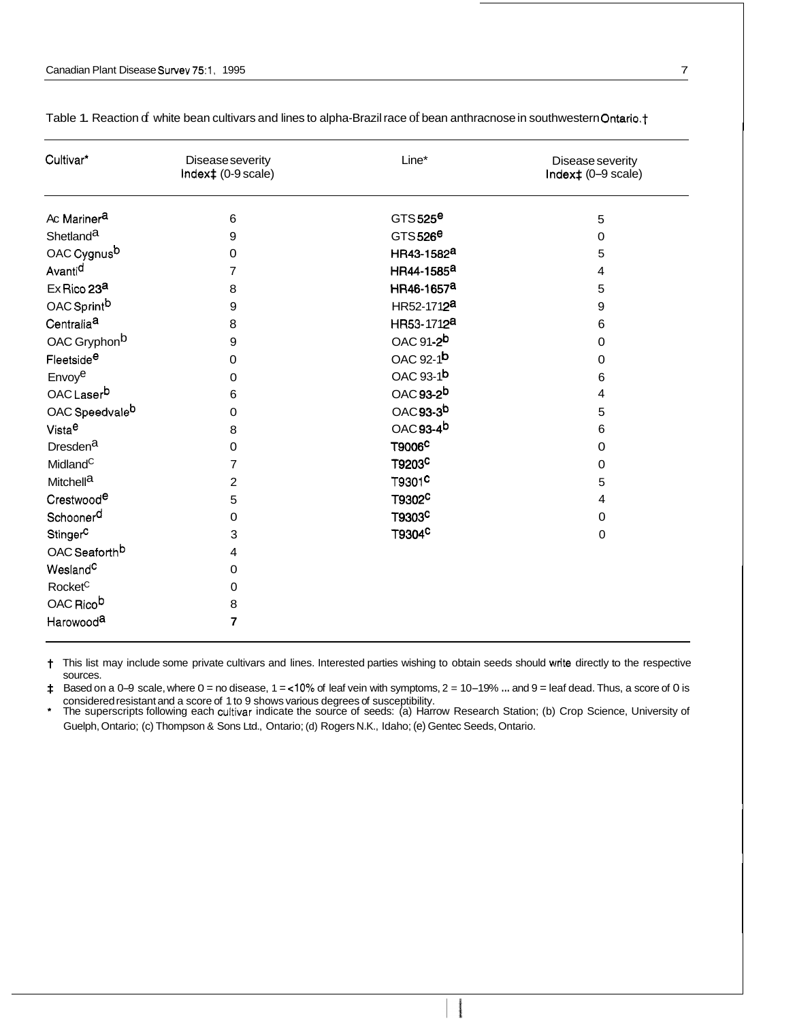| Cultivar*                  | Disease severity<br>Index‡ (0-9 scale) | Line*                  | Disease severity<br>Index‡ (0-9 scale) |
|----------------------------|----------------------------------------|------------------------|----------------------------------------|
| Ac Mariner <sup>a</sup>    | 6                                      | GTS 525 $e$            | 5                                      |
| Shetland <sup>a</sup>      | 9                                      | $GTS526^{\Theta}$      | 0                                      |
| OAC Cygnus <sup>b</sup>    | 0                                      | HR43-1582 <sup>a</sup> | 5                                      |
| Avanti <sup>d</sup>        | 7                                      | HR44-1585 <sup>a</sup> | 4                                      |
| Ex Rico 23 <sup>a</sup>    | 8                                      | HR46-1657 <sup>a</sup> | 5                                      |
| OAC Sprint <sup>b</sup>    | 9                                      | HR52-1712 <sup>a</sup> | 9                                      |
| Centralia <sup>a</sup>     | 8                                      | HR53-1712 <sup>a</sup> | 6                                      |
| OAC Gryphon <sup>b</sup>   | 9                                      | OAC 91-2 <sup>b</sup>  | 0                                      |
| Fleetside <sup>e</sup>     | $\mathbf 0$                            | OAC 92-1 <sup>b</sup>  | 0                                      |
| Envoye                     | 0                                      | OAC 93-1 <sup>b</sup>  | 6                                      |
| OAC Laserb                 | 6                                      | OAC 93-2 <sup>b</sup>  | 4                                      |
| OAC Speedvale <sup>b</sup> | $\mathbf 0$                            | OAC 93-3 <sup>b</sup>  | 5                                      |
| Vista <sup>e</sup>         | 8                                      | OAC 93-4 <sup>b</sup>  | 6                                      |
| Dresden <sup>a</sup>       | $\mathbf 0$                            | T9006 <sup>C</sup>     | $\mathbf 0$                            |
| Midland <sup>C</sup>       | 7                                      | T9203C                 | $\mathbf 0$                            |
| Mitchell <sup>a</sup>      | $\overline{c}$                         | T9301 <sup>C</sup>     | 5                                      |
| Crestwood <sup>e</sup>     | 5                                      | T9302 <sup>C</sup>     | $\overline{4}$                         |
| Schoonerd                  | 0                                      | T9303 <sup>C</sup>     | 0                                      |
| Stinger <sup>C</sup>       | 3                                      | T9304 <sup>C</sup>     | $\pmb{0}$                              |
| OAC Seaforth <sup>b</sup>  | 4                                      |                        |                                        |
| Wesland <sup>C</sup>       | 0                                      |                        |                                        |
| Rocket <sup>C</sup>        | 0                                      |                        |                                        |
| OAC Rico <sup>b</sup>      | 8                                      |                        |                                        |
| Harowood <sup>a</sup>      | 7                                      |                        |                                        |

Table 1. Reaction of white bean cultivars and lines to alpha-Brazil race of bean anthracnose in southwestern Ontario.†

t This list may include some private cultivars and lines. Interested parties wishing to obtain seeds should write directly to the respective sources.

Based on a 0-9 scale, where  $0 =$  no disease,  $1 =$ <10% of leaf vein with symptoms,  $2 = 10 - 19$ % ... and  $9 =$  leaf dead. Thus, a score of 0 is Ŧ. considered resistant and a score of 1 to 9 shows various degrees of susceptibility.

\* The superscripts following each cultivar indicate the source of seeds: (a) Harrow Research Station; (b) Crop Science, University of Guelph, Ontario; (c) Thompson & Sons Ltd., Ontario; (d) Rogers N.K., Idaho; (e) Gentec Seeds, Ontario.